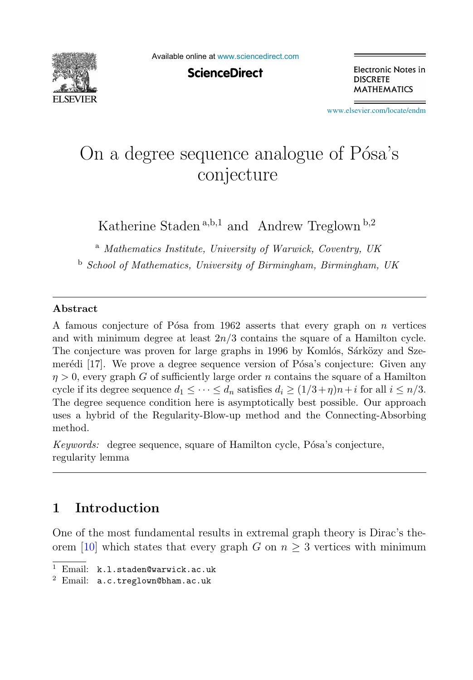

Available online at [www.sciencedirect.com](http://www.sciencedirect.com)

**ScienceDirect** 

Electronic Notes in **DISCRETE MATHEMATICS** 

[www.elsevier.com/locate/endm](http://www.elsevier.com/locate/endm)

# On a degree sequence analogue of Pósa's conjecture

Katherine Staden<sup>a,b,1</sup> and Andrew Treglown<sup>b,2</sup>

<sup>a</sup> *Mathematics Institute, University of Warwick, Coventry, UK*

<sup>b</sup> *School of Mathematics, University of Birmingham, Birmingham, UK*

#### **Abstract**

A famous conjecture of Pósa from 1962 asserts that every graph on  $n$  vertices and with minimum degree at least  $2n/3$  contains the square of a Hamilton cycle. The conjecture was proven for large graphs in 1996 by Komlós, Sárközy and Szemerédi [17]. We prove a degree sequence version of Pósa's conjecture: Given any  $\eta > 0$ , every graph G of sufficiently large order n contains the square of a Hamilton cycle if its degree sequence  $d_1 \leq \cdots \leq d_n$  satisfies  $d_i \geq (1/3+\eta)n+i$  for all  $i \leq n/3$ . The degree sequence condition here is asymptotically best possible. Our approach uses a hybrid of the Regularity-Blow-up method and the Connecting-Absorbing method.

*Keywords:* degree sequence, square of Hamilton cycle, Pósa's conjecture, regularity lemma

## **1 Introduction**

One of the most fundamental results in extremal graph theory is Dirac's theorem [10] which states that every graph G on  $n \geq 3$  vertices with minimum

<sup>1</sup> Email: k.l.staden@warwick.ac.uk

<sup>2</sup> Email: a.c.treglown@bham.ac.uk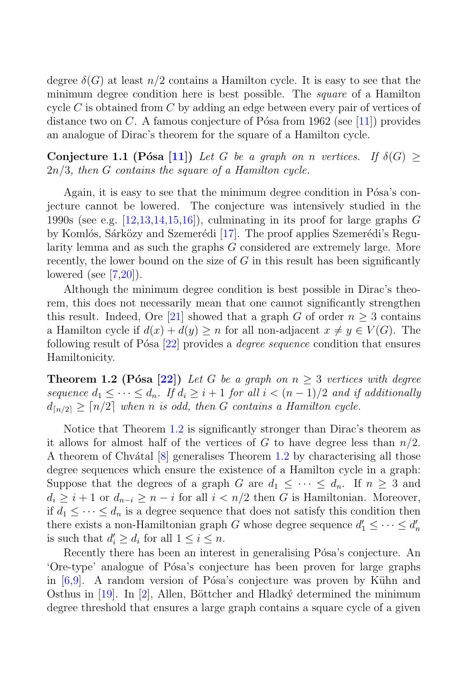degree  $\delta(G)$  at least  $n/2$  contains a Hamilton cycle. It is easy to see that the minimum degree condition here is best possible. The *square* of a Hamilton cycle  $C$  is obtained from  $C$  by adding an edge between every pair of vertices of distance two on C. A famous conjecture of Pósa from 1962 (see [11]) provides an analogue of Dirac's theorem for the square of a Hamilton cycle.

**Conjecture 1.1 (Pósa [11])** Let G be a graph on n vertices. If  $\delta(G) \geq$ 2n/3, then G contains the square of a Hamilton cycle.

Again, it is easy to see that the minimum degree condition in Pósa's conjecture cannot be lowered. The conjecture was intensively studied in the 1990s (see e.g.  $[12,13,14,15,16]$ ), culminating in its proof for large graphs G by Komlós, Sárközy and Szemerédi [17]. The proof applies Szemerédi's Regularity lemma and as such the graphs G considered are extremely large. More recently, the lower bound on the size of  $G$  in this result has been significantly lowered (see [7,20]).

Although the minimum degree condition is best possible in Dirac's theorem, this does not necessarily mean that one cannot significantly strengthen this result. Indeed, Ore [21] showed that a graph G of order  $n \geq 3$  contains a Hamilton cycle if  $d(x) + d(y) \geq n$  for all non-adjacent  $x \neq y \in V(G)$ . The following result of P<sup> $\delta$ sa [22] provides a *degree sequence* condition that ensures</sup> Hamiltonicity.

**Theorem 1.2 (Pósa [22])** Let G be a graph on  $n \geq 3$  vertices with degree sequence  $d_1 \leq \cdots \leq d_n$ . If  $d_i \geq i+1$  for all  $i < (n-1)/2$  and if additionally  $d_{\lceil n/2 \rceil} \geq \lceil n/2 \rceil$  when n is odd, then G contains a Hamilton cycle.

Notice that Theorem 1.2 is significantly stronger than Dirac's theorem as it allows for almost half of the vertices of G to have degree less than  $n/2$ . A theorem of Chvátal  $[8]$  generalises Theorem 1.2 by characterising all those degree sequences which ensure the existence of a Hamilton cycle in a graph: Suppose that the degrees of a graph G are  $d_1 \leq \cdots \leq d_n$ . If  $n \geq 3$  and  $d_i \geq i+1$  or  $d_{n-i} \geq n-i$  for all  $i < n/2$  then G is Hamiltonian. Moreover, if  $d_1 \leq \cdots \leq d_n$  is a degree sequence that does not satisfy this condition then there exists a non-Hamiltonian graph G whose degree sequence  $d'_1 \leq \cdots \leq d'_n$ is such that  $d'_i \geq d_i$  for all  $1 \leq i \leq n$ .

Recently there has been an interest in generalising Pósa's conjecture. An 'Ore-type' analogue of P´osa's conjecture has been proven for large graphs in  $[6,9]$ . A random version of Pósa's conjecture was proven by Kühn and Osthus in  $[19]$ . In  $[2]$ , Allen, Böttcher and Hladký determined the minimum degree threshold that ensures a large graph contains a square cycle of a given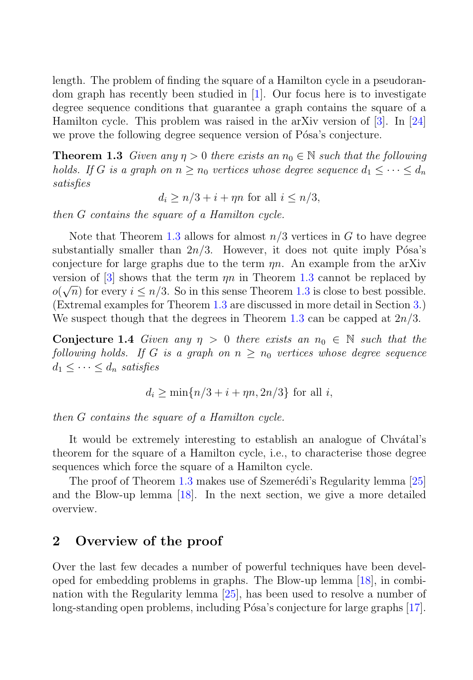length. The problem of finding the square of a Hamilton cycle in a pseudorandom graph has recently been studied in [1]. Our focus here is to investigate degree sequence conditions that guarantee a graph contains the square of a Hamilton cycle. This problem was raised in the arXiv version of [3]. In [24] we prove the following degree sequence version of Pósa's conjecture.

**Theorem 1.3** Given any  $\eta > 0$  there exists an  $n_0 \in \mathbb{N}$  such that the following holds. If G is a graph on  $n \geq n_0$  vertices whose degree sequence  $d_1 \leq \cdots \leq d_n$ satisfies

 $d_i \geq n/3 + i + \eta n$  for all  $i \leq n/3$ ,

then G contains the square of a Hamilton cycle.

Note that Theorem 1.3 allows for almost  $n/3$  vertices in G to have degree substantially smaller than  $2n/3$ . However, it does not quite imply Pósa's conjecture for large graphs due to the term  $\eta n$ . An example from the arXiv version of [3] shows that the term  $\eta n$  in Theorem 1.3 cannot be replaced by  $o(\sqrt{n})$  for every  $i \leq n/3$ . So in this sense Theorem 1.3 is close to best possible. (Extremal examples for Theorem 1.3 are discussed in more detail in Section 3.) We suspect though that the degrees in Theorem 1.3 can be capped at  $2n/3$ .

**Conjecture 1.4** Given any  $\eta > 0$  there exists an  $n_0 \in \mathbb{N}$  such that the following holds. If G is a graph on  $n \geq n_0$  vertices whose degree sequence  $d_1 \leq \cdots \leq d_n$  satisfies

$$
d_i\geq \min\{n/3+i+\eta n,2n/3\}\text{ for all }i,
$$

then G contains the square of a Hamilton cycle.

It would be extremely interesting to establish an analogue of Chvátal's theorem for the square of a Hamilton cycle, i.e., to characterise those degree sequences which force the square of a Hamilton cycle.

The proof of Theorem 1.3 makes use of Szemerédi's Regularity lemma [25] and the Blow-up lemma [18]. In the next section, we give a more detailed overview.

## **2 Overview of the proof**

Over the last few decades a number of powerful techniques have been developed for embedding problems in graphs. The Blow-up lemma [18], in combination with the Regularity lemma [25], has been used to resolve a number of long-standing open problems, including Pósa's conjecture for large graphs [17].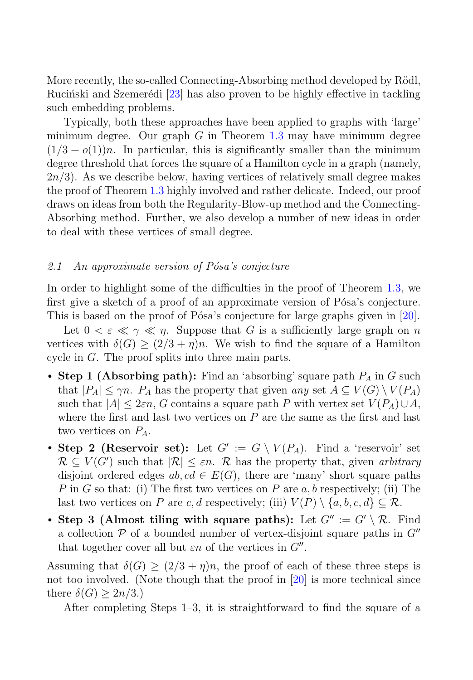More recently, the so-called Connecting-Absorbing method developed by Rödl, Rucinski and Szemerédi [23] has also proven to be highly effective in tackling such embedding problems.

Typically, both these approaches have been applied to graphs with 'large' minimum degree. Our graph  $G$  in Theorem 1.3 may have minimum degree  $(1/3 + o(1))n$ . In particular, this is significantly smaller than the minimum degree threshold that forces the square of a Hamilton cycle in a graph (namely,  $2n/3$ . As we describe below, having vertices of relatively small degree makes the proof of Theorem 1.3 highly involved and rather delicate. Indeed, our proof draws on ideas from both the Regularity-Blow-up method and the Connecting-Absorbing method. Further, we also develop a number of new ideas in order to deal with these vertices of small degree.

#### 2.1 An approximate version of Pósa's conjecture

In order to highlight some of the difficulties in the proof of Theorem 1.3, we first give a sketch of a proof of an approximate version of Pósa's conjecture. This is based on the proof of Pósa's conjecture for large graphs given in [20].

Let  $0 < \varepsilon \ll \gamma \ll n$ . Suppose that G is a sufficiently large graph on n vertices with  $\delta(G) > (2/3 + \eta)n$ . We wish to find the square of a Hamilton cycle in G. The proof splits into three main parts.

- **Step 1 (Absorbing path):** Find an 'absorbing' square path  $P_A$  in G such that  $|P_A| \leq \gamma n$ .  $P_A$  has the property that given any set  $A \subseteq V(G) \setminus V(P_A)$ such that  $|A| \leq 2\varepsilon n$ , G contains a square path P with vertex set  $V(P_A) \cup A$ , where the first and last two vertices on  $P$  are the same as the first and last two vertices on  $P_A$ .
- **Step 2 (Reservoir set):** Let  $G' := G \setminus V(P_A)$ . Find a 'reservoir' set  $\mathcal{R} \subseteq V(G')$  such that  $|\mathcal{R}| \leq \varepsilon n$ .  $\mathcal{R}$  has the property that, given arbitrary disjoint ordered edges  $ab, cd \in E(G)$ , there are 'many' short square paths P in G so that: (i) The first two vertices on P are  $a, b$  respectively; (ii) The last two vertices on P are c, d respectively; (iii)  $V(P) \setminus \{a, b, c, d\} \subseteq \mathcal{R}$ .
- **Step 3 (Almost tiling with square paths):** Let  $G'' := G' \setminus \mathcal{R}$ . Find a collection  $\mathcal P$  of a bounded number of vertex-disjoint square paths in  $G''$ that together cover all but  $\varepsilon n$  of the vertices in  $G''$ .

Assuming that  $\delta(G) \geq (2/3 + \eta)n$ , the proof of each of these three steps is not too involved. (Note though that the proof in [20] is more technical since there  $\delta(G) \geq 2n/3$ .)

After completing Steps 1–3, it is straightforward to find the square of a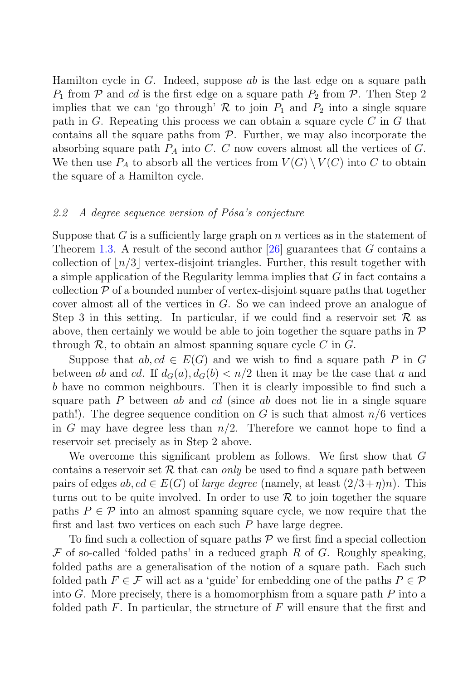Hamilton cycle in  $G$ . Indeed, suppose ab is the last edge on a square path  $P_1$  from  $\mathcal P$  and cd is the first edge on a square path  $P_2$  from  $\mathcal P$ . Then Step 2 implies that we can 'go through'  $\mathcal R$  to join  $P_1$  and  $P_2$  into a single square path in G. Repeating this process we can obtain a square cycle  $C$  in  $G$  that contains all the square paths from  $P$ . Further, we may also incorporate the absorbing square path  $P_A$  into C. C now covers almost all the vertices of G. We then use  $P_A$  to absorb all the vertices from  $V(G) \setminus V(C)$  into C to obtain the square of a Hamilton cycle.

#### 2.2 A degree sequence version of  $P$ ósa's conjecture

Suppose that G is a sufficiently large graph on n vertices as in the statement of Theorem 1.3. A result of the second author [26] guarantees that G contains a collection of  $\lfloor n/3 \rfloor$  vertex-disjoint triangles. Further, this result together with a simple application of the Regularity lemma implies that G in fact contains a collection  $P$  of a bounded number of vertex-disjoint square paths that together cover almost all of the vertices in  $G$ . So we can indeed prove an analogue of Step 3 in this setting. In particular, if we could find a reservoir set  $\mathcal R$  as above, then certainly we would be able to join together the square paths in  $\mathcal P$ through  $\mathcal R$ , to obtain an almost spanning square cycle C in G.

Suppose that  $ab, cd \in E(G)$  and we wish to find a square path P in G between ab and cd. If  $d_G(a)$ ,  $d_G(b) < n/2$  then it may be the case that a and b have no common neighbours. Then it is clearly impossible to find such a square path  $P$  between ab and cd (since ab does not lie in a single square path!). The degree sequence condition on G is such that almost  $n/6$  vertices in G may have degree less than  $n/2$ . Therefore we cannot hope to find a reservoir set precisely as in Step 2 above.

We overcome this significant problem as follows. We first show that G contains a reservoir set  $R$  that can only be used to find a square path between pairs of edges  $ab, cd \in E(G)$  of *large degree* (namely, at least  $(2/3+\eta)n$ ). This turns out to be quite involved. In order to use  $\mathcal R$  to join together the square paths  $P \in \mathcal{P}$  into an almost spanning square cycle, we now require that the first and last two vertices on each such  $P$  have large degree.

To find such a collection of square paths  $P$  we first find a special collection  $\mathcal F$  of so-called 'folded paths' in a reduced graph R of G. Roughly speaking, folded paths are a generalisation of the notion of a square path. Each such folded path  $F \in \mathcal{F}$  will act as a 'guide' for embedding one of the paths  $P \in \mathcal{P}$ into  $G$ . More precisely, there is a homomorphism from a square path  $P$  into a folded path  $F$ . In particular, the structure of  $F$  will ensure that the first and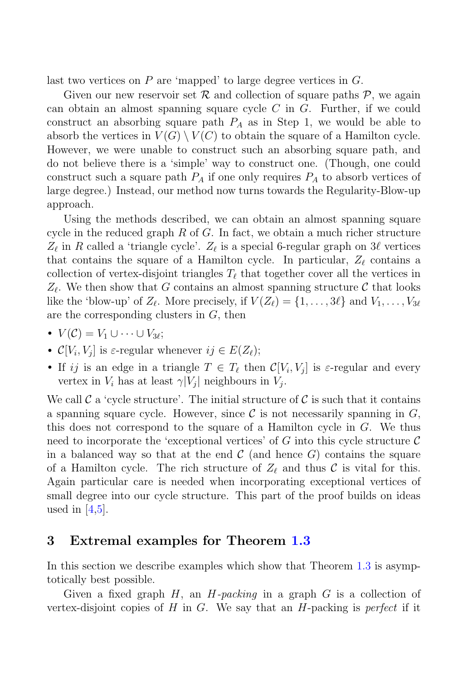last two vertices on  $P$  are 'mapped' to large degree vertices in  $G$ .

Given our new reservoir set  $\mathcal R$  and collection of square paths  $\mathcal P$ , we again can obtain an almost spanning square cycle  $C$  in  $G$ . Further, if we could construct an absorbing square path  $P_A$  as in Step 1, we would be able to absorb the vertices in  $V(G) \setminus V(C)$  to obtain the square of a Hamilton cycle. However, we were unable to construct such an absorbing square path, and do not believe there is a 'simple' way to construct one. (Though, one could construct such a square path  $P_A$  if one only requires  $P_A$  to absorb vertices of large degree.) Instead, our method now turns towards the Regularity-Blow-up approach.

Using the methods described, we can obtain an almost spanning square cycle in the reduced graph  $R$  of  $G$ . In fact, we obtain a much richer structure  $Z_{\ell}$  in R called a 'triangle cycle'.  $Z_{\ell}$  is a special 6-regular graph on  $3\ell$  vertices that contains the square of a Hamilton cycle. In particular,  $Z_{\ell}$  contains a collection of vertex-disjoint triangles  $T_{\ell}$  that together cover all the vertices in  $Z_{\ell}$ . We then show that G contains an almost spanning structure C that looks like the 'blow-up' of  $Z_{\ell}$ . More precisely, if  $V(Z_{\ell}) = \{1, \ldots, 3\ell\}$  and  $V_1, \ldots, V_{3\ell}$ are the corresponding clusters in  $G$ , then

- $V(\mathcal{C}) = V_1 \cup \cdots \cup V_{3\ell};$
- $\mathcal{C}[V_i, V_j]$  is  $\varepsilon$ -regular whenever  $ij \in E(Z_\ell)$ ;
- If ij is an edge in a triangle  $T \in T_{\ell}$  then  $\mathcal{C}[V_i, V_j]$  is  $\varepsilon$ -regular and every vertex in  $V_i$  has at least  $\gamma|V_j|$  neighbours in  $V_j$ .

We call C a 'cycle structure'. The initial structure of C is such that it contains a spanning square cycle. However, since  $\mathcal C$  is not necessarily spanning in  $G$ , this does not correspond to the square of a Hamilton cycle in G. We thus need to incorporate the 'exceptional vertices' of  $G$  into this cycle structure  $\mathcal C$ in a balanced way so that at the end  $\mathcal C$  (and hence  $G$ ) contains the square of a Hamilton cycle. The rich structure of  $Z_{\ell}$  and thus  $\mathcal C$  is vital for this. Again particular care is needed when incorporating exceptional vertices of small degree into our cycle structure. This part of the proof builds on ideas used in  $\vert 4,5\vert$ .

## **3 Extremal examples for Theorem 1.3**

In this section we describe examples which show that Theorem 1.3 is asymptotically best possible.

Given a fixed graph  $H$ , an  $H$ -packing in a graph  $G$  is a collection of vertex-disjoint copies of H in G. We say that an  $H$ -packing is *perfect* if it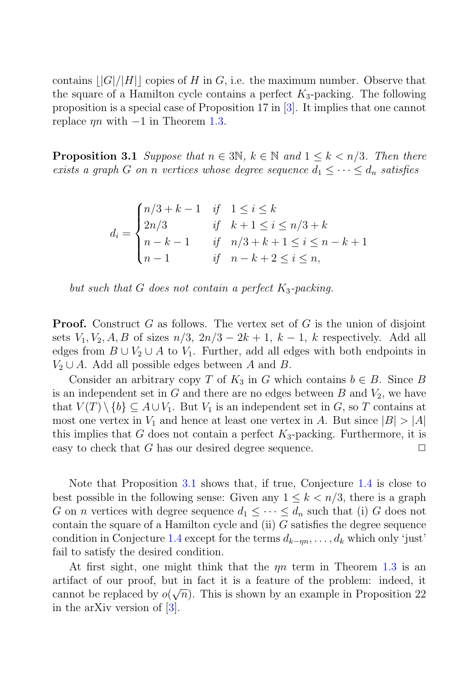contains  $||G||/||H||$  copies of H in G, i.e. the maximum number. Observe that the square of a Hamilton cycle contains a perfect  $K_3$ -packing. The following proposition is a special case of Proposition 17 in [3]. It implies that one cannot replace  $\eta n$  with  $-1$  in Theorem 1.3.

**Proposition 3.1** Suppose that  $n \in 3N$ ,  $k \in \mathbb{N}$  and  $1 \leq k \leq n/3$ . Then there exists a graph G on n vertices whose degree sequence  $d_1 \leq \cdots \leq d_n$  satisfies

$$
d_i = \begin{cases} n/3 + k - 1 & \text{if } 1 \le i \le k \\ 2n/3 & \text{if } k + 1 \le i \le n/3 + k \\ n - k - 1 & \text{if } n/3 + k + 1 \le i \le n - k + 1 \\ n - 1 & \text{if } n - k + 2 \le i \le n, \end{cases}
$$



**Proof.** Construct G as follows. The vertex set of G is the union of disjoint sets  $V_1, V_2, A, B$  of sizes  $n/3$ ,  $2n/3 - 2k + 1$ ,  $k - 1$ , k respectively. Add all edges from  $B \cup V_2 \cup A$  to  $V_1$ . Further, add all edges with both endpoints in  $V_2 \cup A$ . Add all possible edges between A and B.

Consider an arbitrary copy T of  $K_3$  in G which contains  $b \in B$ . Since B is an independent set in  $G$  and there are no edges between  $B$  and  $V_2$ , we have that  $V(T) \setminus \{b\} \subseteq A \cup V_1$ . But  $V_1$  is an independent set in G, so T contains at most one vertex in  $V_1$  and hence at least one vertex in A. But since  $|B| > |A|$ this implies that  $G$  does not contain a perfect  $K_3$ -packing. Furthermore, it is easy to check that G has our desired degree sequence.  $\Box$ 

Note that Proposition 3.1 shows that, if true, Conjecture 1.4 is close to best possible in the following sense: Given any  $1 \leq k \leq n/3$ , there is a graph G on *n* vertices with degree sequence  $d_1 \leq \cdots \leq d_n$  such that (i) G does not contain the square of a Hamilton cycle and (ii)  $G$  satisfies the degree sequence condition in Conjecture 1.4 except for the terms  $d_{k-m}, \ldots, d_k$  which only 'just' fail to satisfy the desired condition.

At first sight, one might think that the  $\eta n$  term in Theorem 1.3 is an artifact of our proof, but in fact it is a feature of the problem: indeed, it cannot be replaced by  $o(\sqrt{n})$ . This is shown by an example in Proposition 22 in the arXiv version of [3].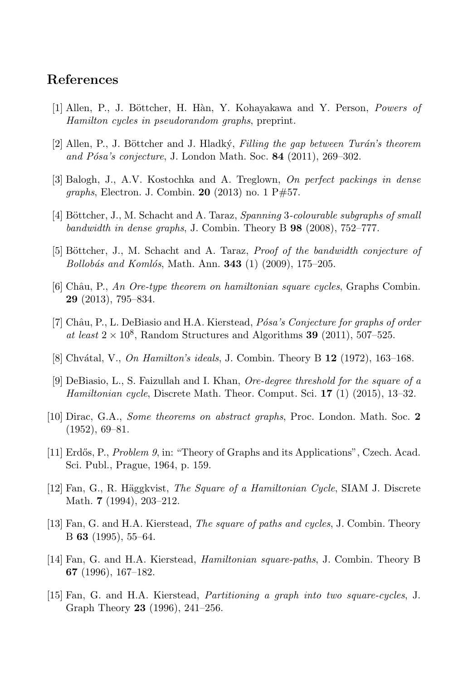### **References**

- [1] Allen, P., J. B¨ottcher, H. H`an, Y. Kohayakawa and Y. Person, *Powers of Hamilton cycles in pseudorandom graphs*, preprint.
- [2] Allen, P., J. B¨ottcher and J. Hladk´y, *Filling the gap between Tur´an's theorem and P´osa's conjecture*, J. London Math. Soc. **84** (2011), 269–302.
- [3] Balogh, J., A.V. Kostochka and A. Treglown, *On perfect packings in dense graphs*, Electron. J. Combin. **20** (2013) no. 1 P#57.
- [4] B¨ottcher, J., M. Schacht and A. Taraz, *Spanning* 3*-colourable subgraphs of small bandwidth in dense graphs*, J. Combin. Theory B **98** (2008), 752–777.
- [5] B¨ottcher, J., M. Schacht and A. Taraz, *Proof of the bandwidth conjecture of Bollob´as and Koml´os*, Math. Ann. **343** (1) (2009), 175–205.
- [6] Chˆau, P., *An Ore-type theorem on hamiltonian square cycles*, Graphs Combin. **29** (2013), 795–834.
- [7] Chˆau, P., L. DeBiasio and H.A. Kierstead, *P´osa's Conjecture for graphs of order* at least  $2 \times 10^8$ , Random Structures and Algorithms **39** (2011), 507–525.
- [8] Chv´atal, V., *On Hamilton's ideals*, J. Combin. Theory B **12** (1972), 163–168.
- [9] DeBiasio, L., S. Faizullah and I. Khan, *Ore-degree threshold for the square of a Hamiltonian cycle*, Discrete Math. Theor. Comput. Sci. **17** (1) (2015), 13–32.
- [10] Dirac, G.A., *Some theorems on abstract graphs*, Proc. London. Math. Soc. **2** (1952), 69–81.
- [11] Erd˝os, P., *Problem 9*, in: "Theory of Graphs and its Applications", Czech. Acad. Sci. Publ., Prague, 1964, p. 159.
- [12] Fan, G., R. H¨aggkvist, *The Square of a Hamiltonian Cycle*, SIAM J. Discrete Math. **7** (1994), 203–212.
- [13] Fan, G. and H.A. Kierstead, *The square of paths and cycles*, J. Combin. Theory B **63** (1995), 55–64.
- [14] Fan, G. and H.A. Kierstead, *Hamiltonian square-paths*, J. Combin. Theory B **67** (1996), 167–182.
- [15] Fan, G. and H.A. Kierstead, *Partitioning a graph into two square-cycles*, J. Graph Theory **23** (1996), 241–256.